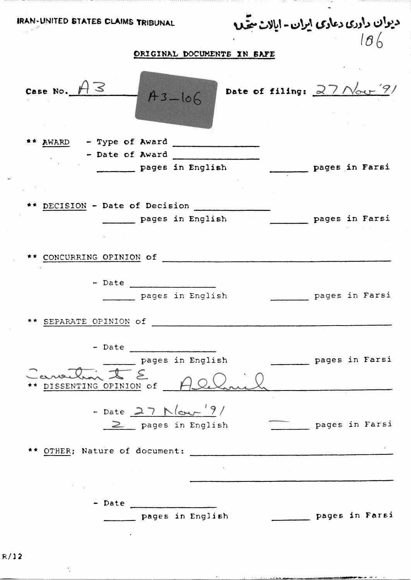| IRAN-UNITED STATES CLAIMS TRIBUNAL                       | دیوان داددی دعادی ایران- ایالات مبتدی |                | $\overline{M}$ |
|----------------------------------------------------------|---------------------------------------|----------------|----------------|
| ORIGINAL DOCUMENTS IN SAFE                               |                                       |                |                |
| Case No. $A3$<br>$A3 - 106$                              | Date of filing: $27$ Nov $'$ ?/       |                |                |
| ** AWARD - Type of Award<br>pages in English             | pages in Farsi                        |                |                |
|                                                          |                                       |                |                |
| ** DECISION - Date of Decision<br>pages in English       | pages in Farsi                        |                |                |
| CONCURRING OPINION of                                    |                                       |                |                |
| pages in English<br>** SEPARATE OPINION of               |                                       | pages in Farsi |                |
|                                                          |                                       |                |                |
| pages in English<br>anothin I E<br>DISSENTING OPINION of |                                       | pages in Farsi |                |
| - Date 27 Mour '9/<br>2 pages in English                 | pages in Farsi                        |                |                |
| OTHER; Nature of document:                               |                                       |                |                |
|                                                          | <b>Contractor</b>                     |                |                |
| $-$ Date                                                 |                                       |                |                |
| pages in English                                         |                                       | pages in Farsi |                |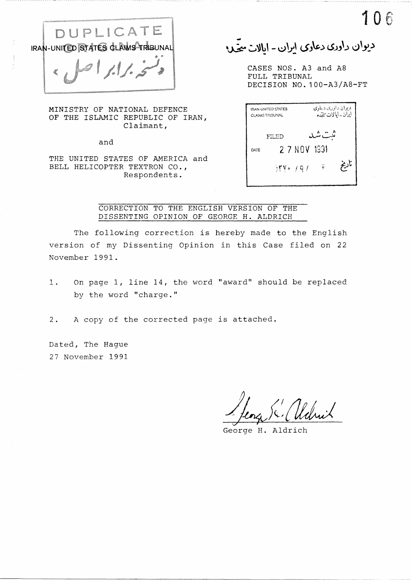

MINISTRY OF NATIONAL DEFENCE OF THE ISLAMIC REPUBLIC OF IRAN, Claimant,

and

THE UNITED STATES OF AMERICA and BELL HELICOPTER TEXTRON CO., Respondents.

1 0 fi ... '~ ~~\,\ - *\.:)~\* **(..>J\t,J i.S.JJ\.)** I..:},.,, \_\_ .) - -

CASES NOS. A3 and AS FULL TRIBUNAL DECISION NO. 100-A3/A8-FT

|      | <b>IRAN-UNITED STATES</b><br><b>CLAIMS TRIBUNAL</b> | ديوان داوري دياوي<br>أيران - أيالات متمدّه |  |
|------|-----------------------------------------------------|--------------------------------------------|--|
|      | FILED                                               | ت متر د.                                   |  |
| DATE | 2 7 NOV 1931                                        |                                            |  |
|      | $\mathbb{N}$ ya / Q /                               | ناديخ                                      |  |

CORRECTION TO THE ENGLISH VERSION OF THE DISSENTING OPINION OF GEORGE H. ALDRICH

The following correction is hereby made to the English version of my Dissenting Opinion in this Case filed on 22 November 1991.

1. On page 1, line 14, the word "award'' should be replaced by the word "charge."

2. A copy of the corrected page is attached.

Dated, The Hague 27 November 1991

George H. Aldrich